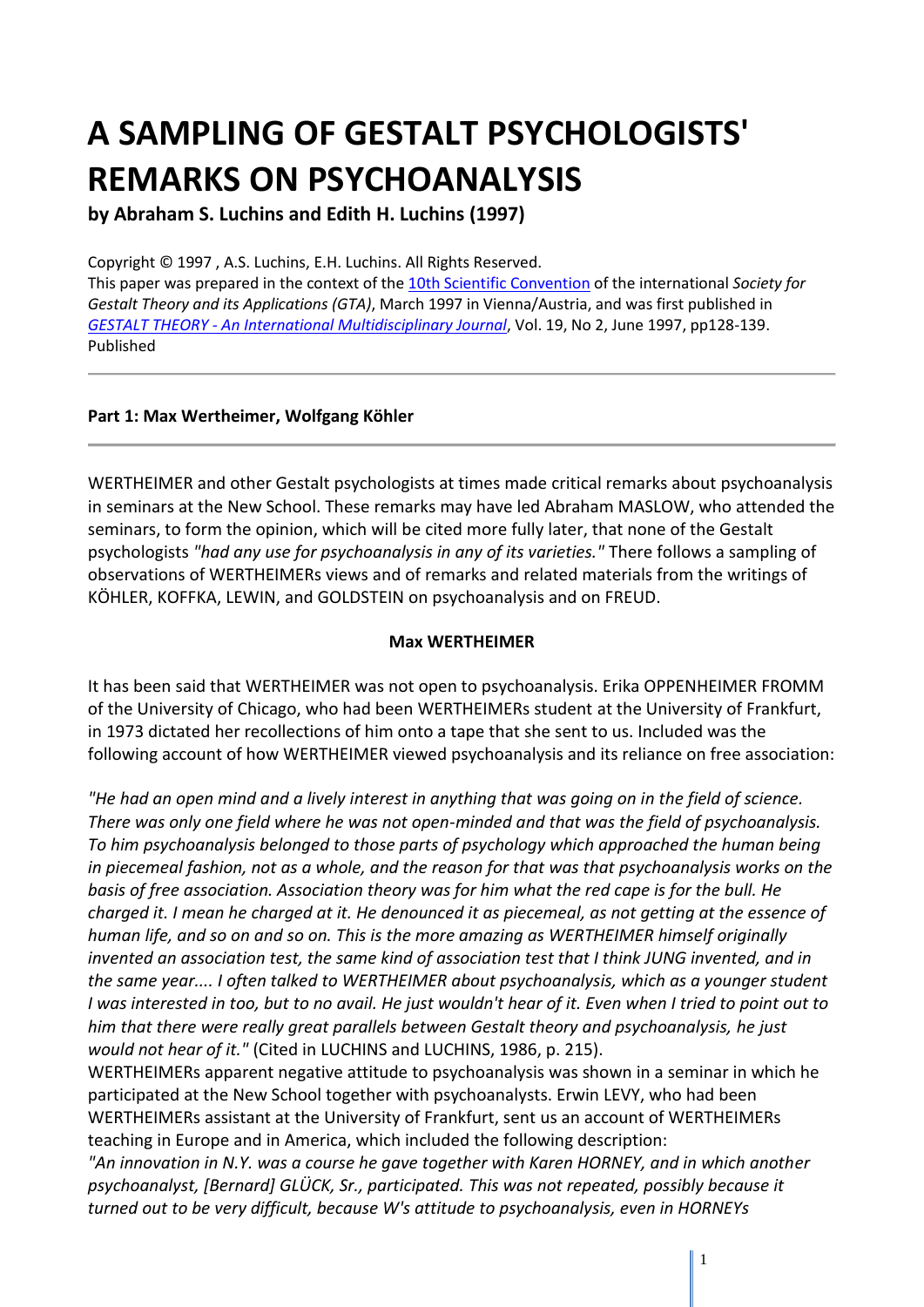# **A SAMPLING OF GESTALT PSYCHOLOGISTS' REMARKS ON PSYCHOANALYSIS**

**by Abraham S. Luchins and Edith H. Luchins (1997)**

Copyright © 1997 , A.S. Luchins, E.H. Luchins. All Rights Reserved.

This paper was prepared in the context of the [10th Scientific Convention](http://www.gestalttheory.net/cms/index.php?page=archive-conferences) of the international *Society for Gestalt Theory and its Applications (GTA)*, March 1997 in Vienna/Austria, and was first published in *GESTALT THEORY - [An International Multidisciplinary Journal](http://gth.krammerbuch.at/)*, Vol. 19, No 2, June 1997, pp128-139. Published

## **Part 1: Max Wertheimer, Wolfgang Köhler**

WERTHEIMER and other Gestalt psychologists at times made critical remarks about psychoanalysis in seminars at the New School. These remarks may have led Abraham MASLOW, who attended the seminars, to form the opinion, which will be cited more fully later, that none of the Gestalt psychologists *"had any use for psychoanalysis in any of its varieties."* There follows a sampling of observations of WERTHEIMERs views and of remarks and related materials from the writings of KÖHLER, KOFFKA, LEWIN, and GOLDSTEIN on psychoanalysis and on FREUD.

### **Max WERTHEIMER**

It has been said that WERTHEIMER was not open to psychoanalysis. Erika OPPENHEIMER FROMM of the University of Chicago, who had been WERTHEIMERs student at the University of Frankfurt, in 1973 dictated her recollections of him onto a tape that she sent to us. Included was the following account of how WERTHEIMER viewed psychoanalysis and its reliance on free association:

*"He had an open mind and a lively interest in anything that was going on in the field of science. There was only one field where he was not open-minded and that was the field of psychoanalysis. To him psychoanalysis belonged to those parts of psychology which approached the human being in piecemeal fashion, not as a whole, and the reason for that was that psychoanalysis works on the basis of free association. Association theory was for him what the red cape is for the bull. He charged it. I mean he charged at it. He denounced it as piecemeal, as not getting at the essence of human life, and so on and so on. This is the more amazing as WERTHEIMER himself originally invented an association test, the same kind of association test that I think JUNG invented, and in the same year.... I often talked to WERTHEIMER about psychoanalysis, which as a younger student I was interested in too, but to no avail. He just wouldn't hear of it. Even when I tried to point out to him that there were really great parallels between Gestalt theory and psychoanalysis, he just would not hear of it."* (Cited in LUCHINS and LUCHINS, 1986, p. 215).

WERTHEIMERs apparent negative attitude to psychoanalysis was shown in a seminar in which he participated at the New School together with psychoanalysts. Erwin LEVY, who had been WERTHEIMERs assistant at the University of Frankfurt, sent us an account of WERTHEIMERs teaching in Europe and in America, which included the following description:

*"An innovation in N.Y. was a course he gave together with Karen HORNEY, and in which another psychoanalyst, [Bernard] GLÜCK, Sr., participated. This was not repeated, possibly because it turned out to be very difficult, because W's attitude to psychoanalysis, even in HORNEYs*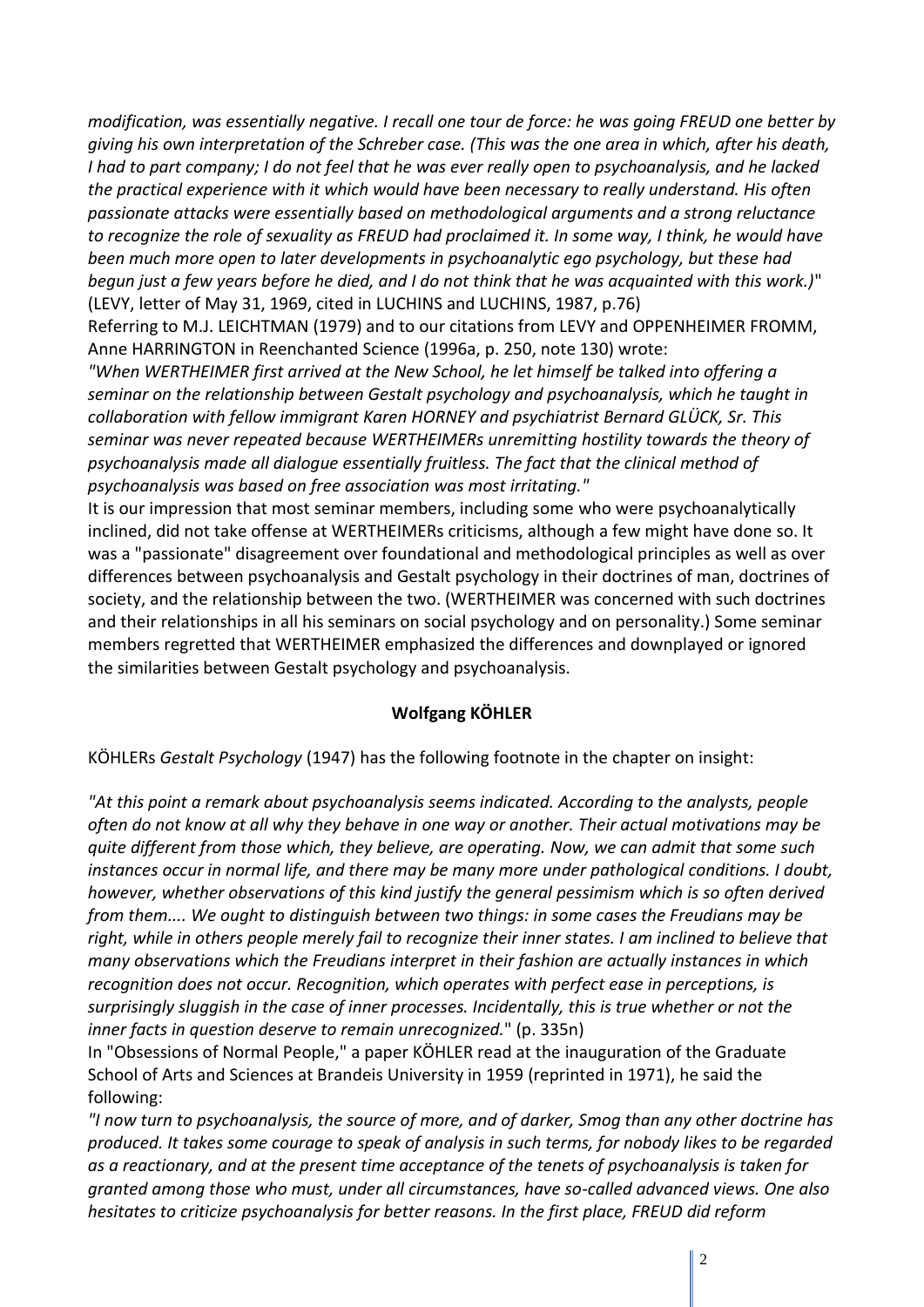*modification, was essentially negative. I recall one tour de force: he was going FREUD one better by giving his own interpretation of the Schreber case. (This was the one area in which, after his death, I had to part company; I do not feel that he was ever really open to psychoanalysis, and he lacked the practical experience with it which would have been necessary to really understand. His often passionate attacks were essentially based on methodological arguments and a strong reluctance to recognize the role of sexuality as FREUD had proclaimed it. In some way, I think, he would have been much more open to later developments in psychoanalytic ego psychology, but these had begun just a few years before he died, and I do not think that he was acquainted with this work.)*" (LEVY, letter of May 31, 1969, cited in LUCHINS and LUCHINS, 1987, p.76)

Referring to M.J. LEICHTMAN (1979) and to our citations from LEVY and OPPENHEIMER FROMM, Anne HARRINGTON in Reenchanted Science (1996a, p. 250, note 130) wrote:

*"When WERTHEIMER first arrived at the New School, he let himself be talked into offering a seminar on the relationship between Gestalt psychology and psychoanalysis, which he taught in collaboration with fellow immigrant Karen HORNEY and psychiatrist Bernard GLÜCK, Sr. This seminar was never repeated because WERTHEIMERs unremitting hostility towards the theory of psychoanalysis made all dialogue essentially fruitless. The fact that the clinical method of psychoanalysis was based on free association was most irritating."*

It is our impression that most seminar members, including some who were psychoanalytically inclined, did not take offense at WERTHEIMERs criticisms, although a few might have done so. It was a "passionate" disagreement over foundational and methodological principles as well as over differences between psychoanalysis and Gestalt psychology in their doctrines of man, doctrines of society, and the relationship between the two. (WERTHEIMER was concerned with such doctrines and their relationships in all his seminars on social psychology and on personality.) Some seminar members regretted that WERTHEIMER emphasized the differences and downplayed or ignored the similarities between Gestalt psychology and psychoanalysis.

## **Wolfgang KÖHLER**

KÖHLERs *Gestalt Psychology* (1947) has the following footnote in the chapter on insight:

*"At this point a remark about psychoanalysis seems indicated. According to the analysts, people often do not know at all why they behave in one way or another. Their actual motivations may be quite different from those which, they believe, are operating. Now, we can admit that some such instances occur in normal life, and there may be many more under pathological conditions. I doubt, however, whether observations of this kind justify the general pessimism which is so often derived from them.... We ought to distinguish between two things: in some cases the Freudians may be right, while in others people merely fail to recognize their inner states. I am inclined to believe that many observations which the Freudians interpret in their fashion are actually instances in which recognition does not occur. Recognition, which operates with perfect ease in perceptions, is surprisingly sluggish in the case of inner processes. Incidentally, this is true whether or not the inner facts in question deserve to remain unrecognized.*" (p. 335n)

In "Obsessions of Normal People," a paper KÖHLER read at the inauguration of the Graduate School of Arts and Sciences at Brandeis University in 1959 (reprinted in 1971), he said the following:

*"I now turn to psychoanalysis, the source of more, and of darker, Smog than any other doctrine has produced. It takes some courage to speak of analysis in such terms, for nobody likes to be regarded as a reactionary, and at the present time acceptance of the tenets of psychoanalysis is taken for granted among those who must, under all circumstances, have so-called advanced views. One also hesitates to criticize psychoanalysis for better reasons. In the first place, FREUD did reform*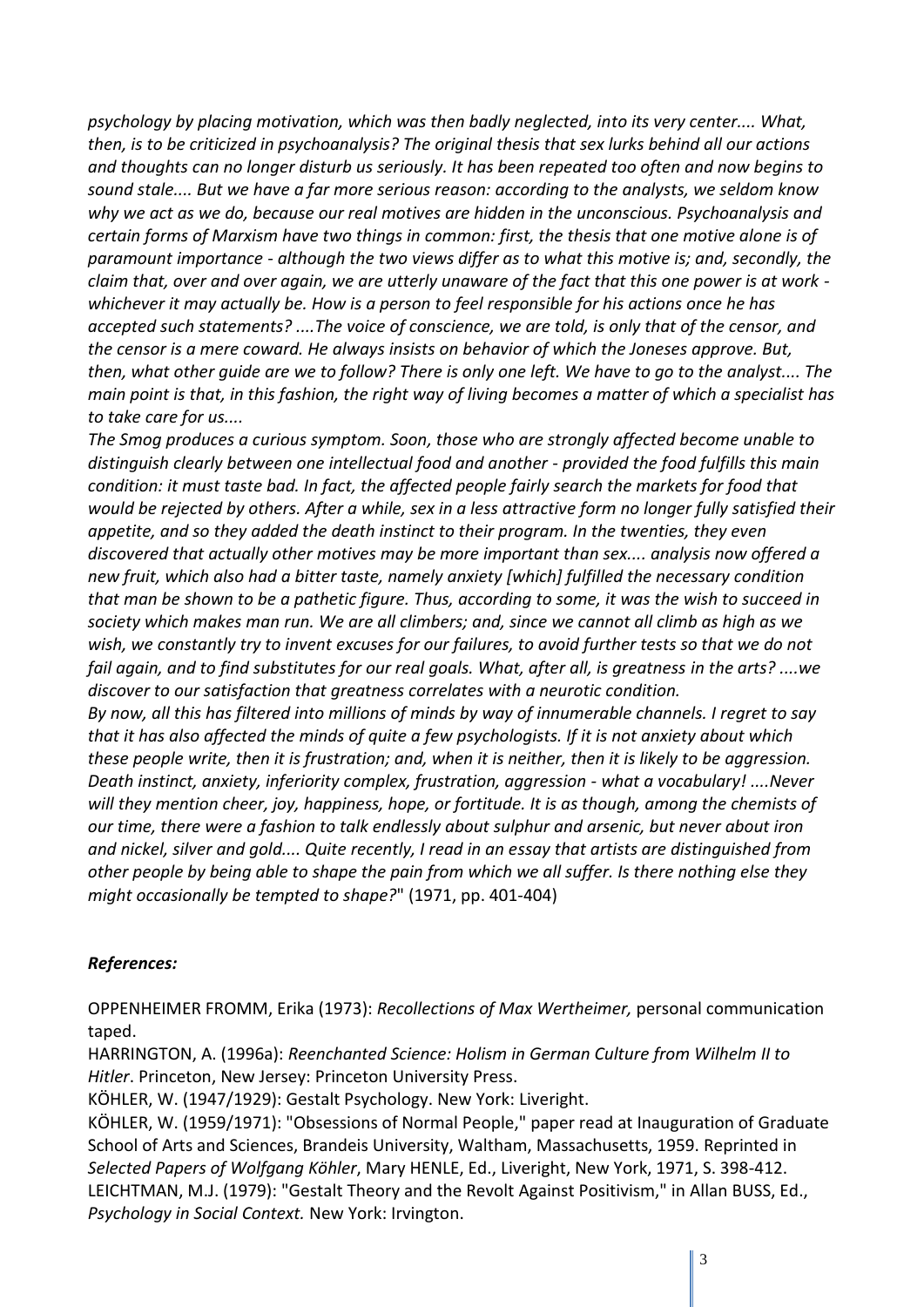*psychology by placing motivation, which was then badly neglected, into its very center.... What, then, is to be criticized in psychoanalysis? The original thesis that sex lurks behind all our actions and thoughts can no longer disturb us seriously. It has been repeated too often and now begins to sound stale.... But we have a far more serious reason: according to the analysts, we seldom know why we act as we do, because our real motives are hidden in the unconscious. Psychoanalysis and certain forms of Marxism have two things in common: first, the thesis that one motive alone is of paramount importance - although the two views differ as to what this motive is; and, secondly, the claim that, over and over again, we are utterly unaware of the fact that this one power is at work whichever it may actually be. How is a person to feel responsible for his actions once he has accepted such statements? ....The voice of conscience, we are told, is only that of the censor, and the censor is a mere coward. He always insists on behavior of which the Joneses approve. But, then, what other guide are we to follow? There is only one left. We have to go to the analyst.... The main point is that, in this fashion, the right way of living becomes a matter of which a specialist has to take care for us....*

*The Smog produces a curious symptom. Soon, those who are strongly affected become unable to distinguish clearly between one intellectual food and another - provided the food fulfills this main condition: it must taste bad. In fact, the affected people fairly search the markets for food that would be rejected by others. After a while, sex in a less attractive form no longer fully satisfied their appetite, and so they added the death instinct to their program. In the twenties, they even discovered that actually other motives may be more important than sex.... analysis now offered a new fruit, which also had a bitter taste, namely anxiety [which] fulfilled the necessary condition that man be shown to be a pathetic figure. Thus, according to some, it was the wish to succeed in society which makes man run. We are all climbers; and, since we cannot all climb as high as we wish, we constantly try to invent excuses for our failures, to avoid further tests so that we do not fail again, and to find substitutes for our real goals. What, after all, is greatness in the arts? ....we discover to our satisfaction that greatness correlates with a neurotic condition.*

*By now, all this has filtered into millions of minds by way of innumerable channels. I regret to say that it has also affected the minds of quite a few psychologists. If it is not anxiety about which these people write, then it is frustration; and, when it is neither, then it is likely to be aggression. Death instinct, anxiety, inferiority complex, frustration, aggression - what a vocabulary! ....Never will they mention cheer, joy, happiness, hope, or fortitude. It is as though, among the chemists of our time, there were a fashion to talk endlessly about sulphur and arsenic, but never about iron and nickel, silver and gold.... Quite recently, I read in an essay that artists are distinguished from other people by being able to shape the pain from which we all suffer. Is there nothing else they might occasionally be tempted to shape?*" (1971, pp. 401-404)

# *References:*

OPPENHEIMER FROMM, Erika (1973): *Recollections of Max Wertheimer,* personal communication taped.

HARRINGTON, A. (1996a): *Reenchanted Science: Holism in German Culture from Wilhelm II to Hitler*. Princeton, New Jersey: Princeton University Press.

KÖHLER, W. (1947/1929): Gestalt Psychology. New York: Liveright.

KÖHLER, W. (1959/1971): "Obsessions of Normal People," paper read at Inauguration of Graduate School of Arts and Sciences, Brandeis University, Waltham, Massachusetts, 1959. Reprinted in *Selected Papers of Wolfgang Köhler*, Mary HENLE, Ed., Liveright, New York, 1971, S. 398-412. LEICHTMAN, M.J. (1979): "Gestalt Theory and the Revolt Against Positivism," in Allan BUSS, Ed., *Psychology in Social Context.* New York: Irvington.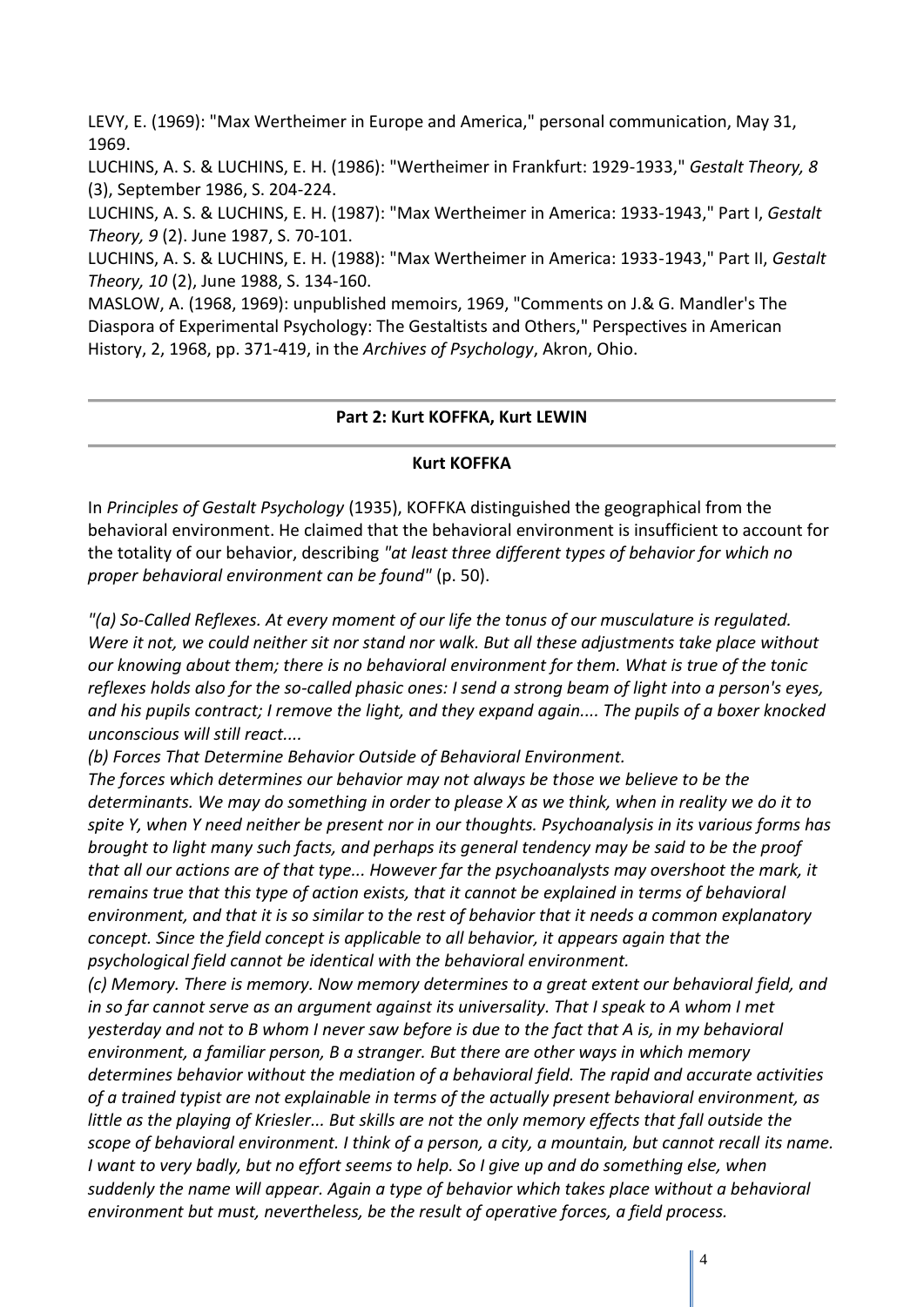LEVY, E. (1969): "Max Wertheimer in Europe and America," personal communication, May 31, 1969.

LUCHINS, A. S. & LUCHINS, E. H. (1986): "Wertheimer in Frankfurt: 1929-1933," *Gestalt Theory, 8*  (3), September 1986, S. 204-224.

LUCHINS, A. S. & LUCHINS, E. H. (1987): "Max Wertheimer in America: 1933-1943," Part I, *Gestalt Theory, 9* (2). June 1987, S. 70-101.

LUCHINS, A. S. & LUCHINS, E. H. (1988): "Max Wertheimer in America: 1933-1943," Part II, *Gestalt Theory, 10* (2), June 1988, S. 134-160.

MASLOW, A. (1968, 1969): unpublished memoirs, 1969, "Comments on J.& G. Mandler's The Diaspora of Experimental Psychology: The Gestaltists and Others," Perspectives in American History, 2, 1968, pp. 371-419, in the *Archives of Psychology*, Akron, Ohio.

#### **Part 2: Kurt KOFFKA, Kurt LEWIN**

#### **Kurt KOFFKA**

In *Principles of Gestalt Psychology* (1935), KOFFKA distinguished the geographical from the behavioral environment. He claimed that the behavioral environment is insufficient to account for the totality of our behavior, describing *"at least three different types of behavior for which no proper behavioral environment can be found"* (p. 50).

*"(a) So-Called Reflexes. At every moment of our life the tonus of our musculature is regulated. Were it not, we could neither sit nor stand nor walk. But all these adjustments take place without our knowing about them; there is no behavioral environment for them. What is true of the tonic reflexes holds also for the so-called phasic ones: I send a strong beam of light into a person's eyes, and his pupils contract; I remove the light, and they expand again.... The pupils of a boxer knocked unconscious will still react....*

*(b) Forces That Determine Behavior Outside of Behavioral Environment.*

*The forces which determines our behavior may not always be those we believe to be the determinants. We may do something in order to please X as we think, when in reality we do it to spite Y, when Y need neither be present nor in our thoughts. Psychoanalysis in its various forms has brought to light many such facts, and perhaps its general tendency may be said to be the proof that all our actions are of that type... However far the psychoanalysts may overshoot the mark, it remains true that this type of action exists, that it cannot be explained in terms of behavioral environment, and that it is so similar to the rest of behavior that it needs a common explanatory concept. Since the field concept is applicable to all behavior, it appears again that the psychological field cannot be identical with the behavioral environment.*

*(c) Memory. There is memory. Now memory determines to a great extent our behavioral field, and*  in so far cannot serve as an argument against its universality. That I speak to A whom I met *yesterday and not to B whom I never saw before is due to the fact that A is, in my behavioral environment, a familiar person, B a stranger. But there are other ways in which memory determines behavior without the mediation of a behavioral field. The rapid and accurate activities of a trained typist are not explainable in terms of the actually present behavioral environment, as little as the playing of Kriesler... But skills are not the only memory effects that fall outside the scope of behavioral environment. I think of a person, a city, a mountain, but cannot recall its name. I* want to very badly, but no effort seems to help. So *I* give up and do something else, when *suddenly the name will appear. Again a type of behavior which takes place without a behavioral environment but must, nevertheless, be the result of operative forces, a field process.*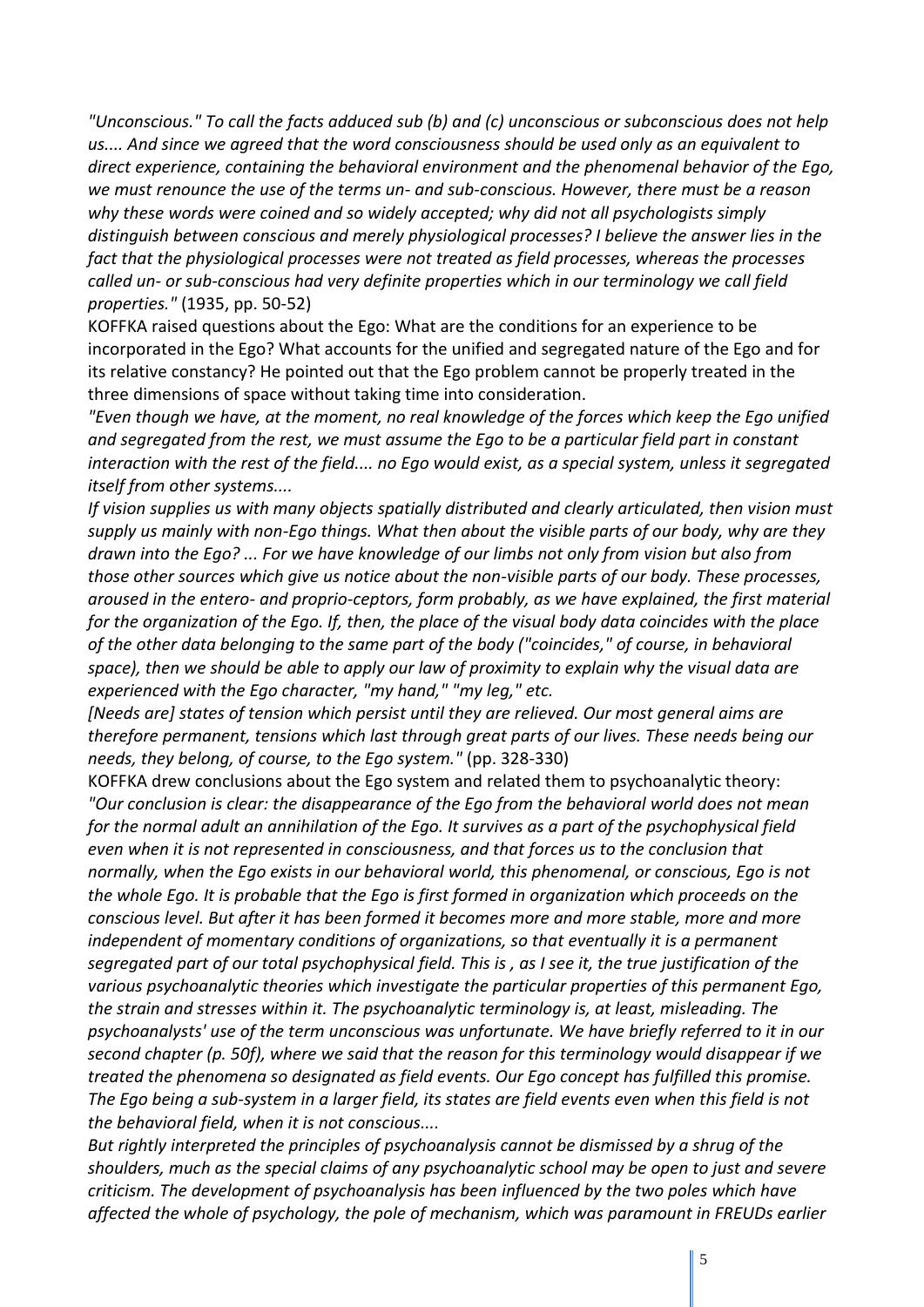*"Unconscious." To call the facts adduced sub (b) and (c) unconscious or subconscious does not help us.... And since we agreed that the word consciousness should be used only as an equivalent to direct experience, containing the behavioral environment and the phenomenal behavior of the Ego, we must renounce the use of the terms un- and sub-conscious. However, there must be a reason why these words were coined and so widely accepted; why did not all psychologists simply distinguish between conscious and merely physiological processes? I believe the answer lies in the fact that the physiological processes were not treated as field processes, whereas the processes called un- or sub-conscious had very definite properties which in our terminology we call field properties."* (1935, pp. 50-52)

KOFFKA raised questions about the Ego: What are the conditions for an experience to be incorporated in the Ego? What accounts for the unified and segregated nature of the Ego and for its relative constancy? He pointed out that the Ego problem cannot be properly treated in the three dimensions of space without taking time into consideration.

*"Even though we have, at the moment, no real knowledge of the forces which keep the Ego unified and segregated from the rest, we must assume the Ego to be a particular field part in constant interaction with the rest of the field.... no Ego would exist, as a special system, unless it segregated itself from other systems....*

*If vision supplies us with many objects spatially distributed and clearly articulated, then vision must supply us mainly with non-Ego things. What then about the visible parts of our body, why are they drawn into the Ego? ... For we have knowledge of our limbs not only from vision but also from those other sources which give us notice about the non-visible parts of our body. These processes, aroused in the entero- and proprio-ceptors, form probably, as we have explained, the first material for the organization of the Ego. If, then, the place of the visual body data coincides with the place of the other data belonging to the same part of the body ("coincides," of course, in behavioral space), then we should be able to apply our law of proximity to explain why the visual data are experienced with the Ego character, "my hand," "my leg," etc.*

*[Needs are] states of tension which persist until they are relieved. Our most general aims are therefore permanent, tensions which last through great parts of our lives. These needs being our needs, they belong, of course, to the Ego system."* (pp. 328-330)

KOFFKA drew conclusions about the Ego system and related them to psychoanalytic theory: *"Our conclusion is clear: the disappearance of the Ego from the behavioral world does not mean for the normal adult an annihilation of the Ego. It survives as a part of the psychophysical field even when it is not represented in consciousness, and that forces us to the conclusion that normally, when the Ego exists in our behavioral world, this phenomenal, or conscious, Ego is not the whole Ego. It is probable that the Ego is first formed in organization which proceeds on the conscious level. But after it has been formed it becomes more and more stable, more and more independent of momentary conditions of organizations, so that eventually it is a permanent segregated part of our total psychophysical field. This is , as I see it, the true justification of the various psychoanalytic theories which investigate the particular properties of this permanent Ego, the strain and stresses within it. The psychoanalytic terminology is, at least, misleading. The psychoanalysts' use of the term unconscious was unfortunate. We have briefly referred to it in our second chapter (p. 50f), where we said that the reason for this terminology would disappear if we treated the phenomena so designated as field events. Our Ego concept has fulfilled this promise. The Ego being a sub-system in a larger field, its states are field events even when this field is not the behavioral field, when it is not conscious....*

*But rightly interpreted the principles of psychoanalysis cannot be dismissed by a shrug of the shoulders, much as the special claims of any psychoanalytic school may be open to just and severe criticism. The development of psychoanalysis has been influenced by the two poles which have affected the whole of psychology, the pole of mechanism, which was paramount in FREUDs earlier*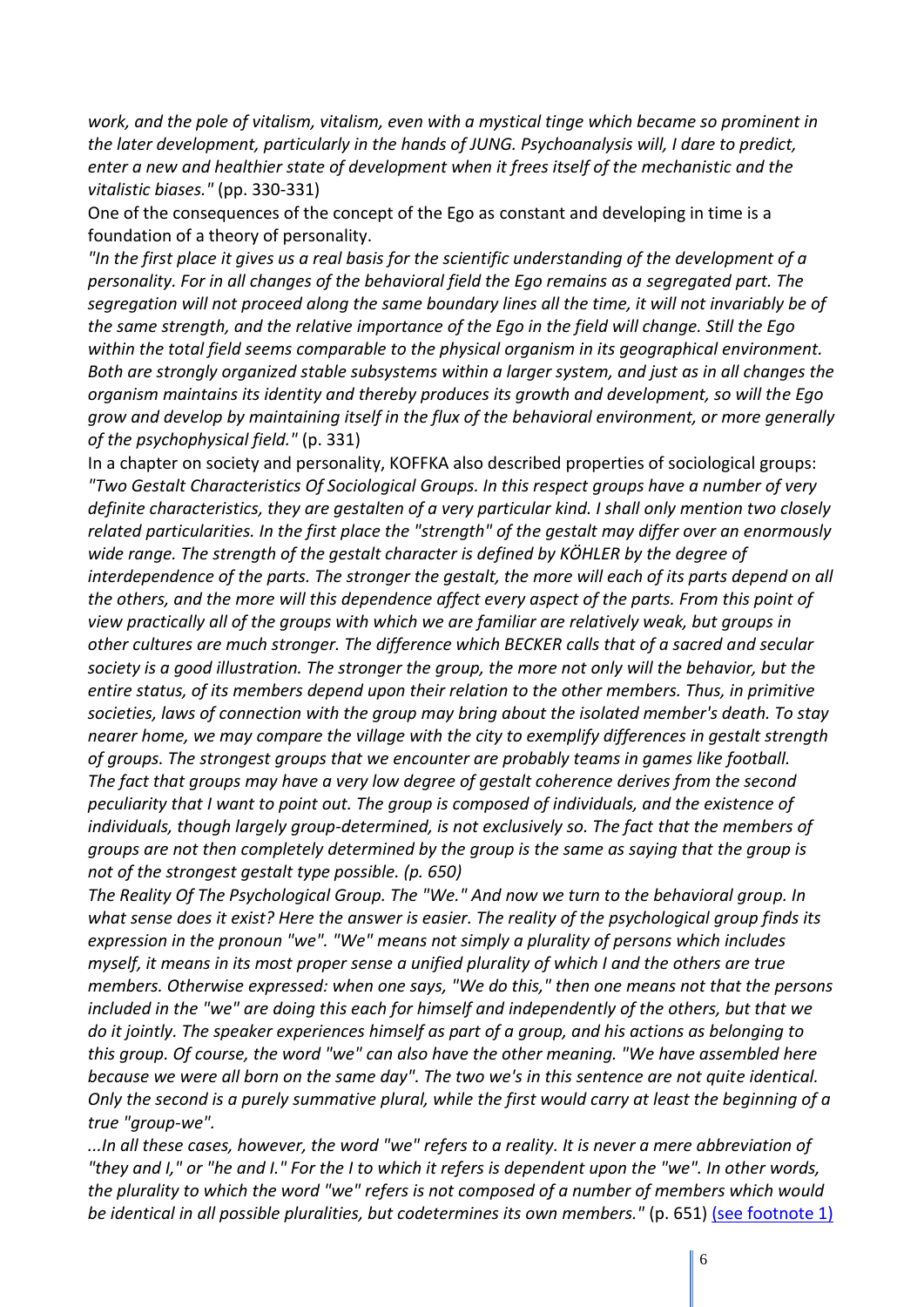*work, and the pole of vitalism, vitalism, even with a mystical tinge which became so prominent in the later development, particularly in the hands of JUNG. Psychoanalysis will, I dare to predict, enter a new and healthier state of development when it frees itself of the mechanistic and the vitalistic biases."* (pp. 330-331)

One of the consequences of the concept of the Ego as constant and developing in time is a foundation of a theory of personality.

*"In the first place it gives us a real basis for the scientific understanding of the development of a personality. For in all changes of the behavioral field the Ego remains as a segregated part. The segregation will not proceed along the same boundary lines all the time, it will not invariably be of the same strength, and the relative importance of the Ego in the field will change. Still the Ego within the total field seems comparable to the physical organism in its geographical environment. Both are strongly organized stable subsystems within a larger system, and just as in all changes the organism maintains its identity and thereby produces its growth and development, so will the Ego grow and develop by maintaining itself in the flux of the behavioral environment, or more generally of the psychophysical field."* (p. 331)

In a chapter on society and personality, KOFFKA also described properties of sociological groups: *"Two Gestalt Characteristics Of Sociological Groups. In this respect groups have a number of very definite characteristics, they are gestalten of a very particular kind. I shall only mention two closely related particularities. In the first place the "strength" of the gestalt may differ over an enormously wide range. The strength of the gestalt character is defined by KÖHLER by the degree of interdependence of the parts. The stronger the gestalt, the more will each of its parts depend on all the others, and the more will this dependence affect every aspect of the parts. From this point of view practically all of the groups with which we are familiar are relatively weak, but groups in other cultures are much stronger. The difference which BECKER calls that of a sacred and secular society is a good illustration. The stronger the group, the more not only will the behavior, but the entire status, of its members depend upon their relation to the other members. Thus, in primitive societies, laws of connection with the group may bring about the isolated member's death. To stay nearer home, we may compare the village with the city to exemplify differences in gestalt strength of groups. The strongest groups that we encounter are probably teams in games like football. The fact that groups may have a very low degree of gestalt coherence derives from the second peculiarity that I want to point out. The group is composed of individuals, and the existence of individuals, though largely group-determined, is not exclusively so. The fact that the members of groups are not then completely determined by the group is the same as saying that the group is not of the strongest gestalt type possible. (p. 650)*

*The Reality Of The Psychological Group. The "We." And now we turn to the behavioral group. In what sense does it exist? Here the answer is easier. The reality of the psychological group finds its expression in the pronoun "we". "We" means not simply a plurality of persons which includes myself, it means in its most proper sense a unified plurality of which I and the others are true members. Otherwise expressed: when one says, "We do this," then one means not that the persons included in the "we" are doing this each for himself and independently of the others, but that we do it jointly. The speaker experiences himself as part of a group, and his actions as belonging to this group. Of course, the word "we" can also have the other meaning. "We have assembled here because we were all born on the same day". The two we's in this sentence are not quite identical. Only the second is a purely summative plural, while the first would carry at least the beginning of a true "group-we".*

*...In all these cases, however, the word "we" refers to a reality. It is never a mere abbreviation of "they and I," or "he and I." For the I to which it refers is dependent upon the "we". In other words, the plurality to which the word "we" refers is not composed of a number of members which would be identical in all possible pluralities, but codetermines its own members."* (p. 651) [\(see footnote 1\)](http://gestalttheory.net/archive/luch2.html#FN%281%29)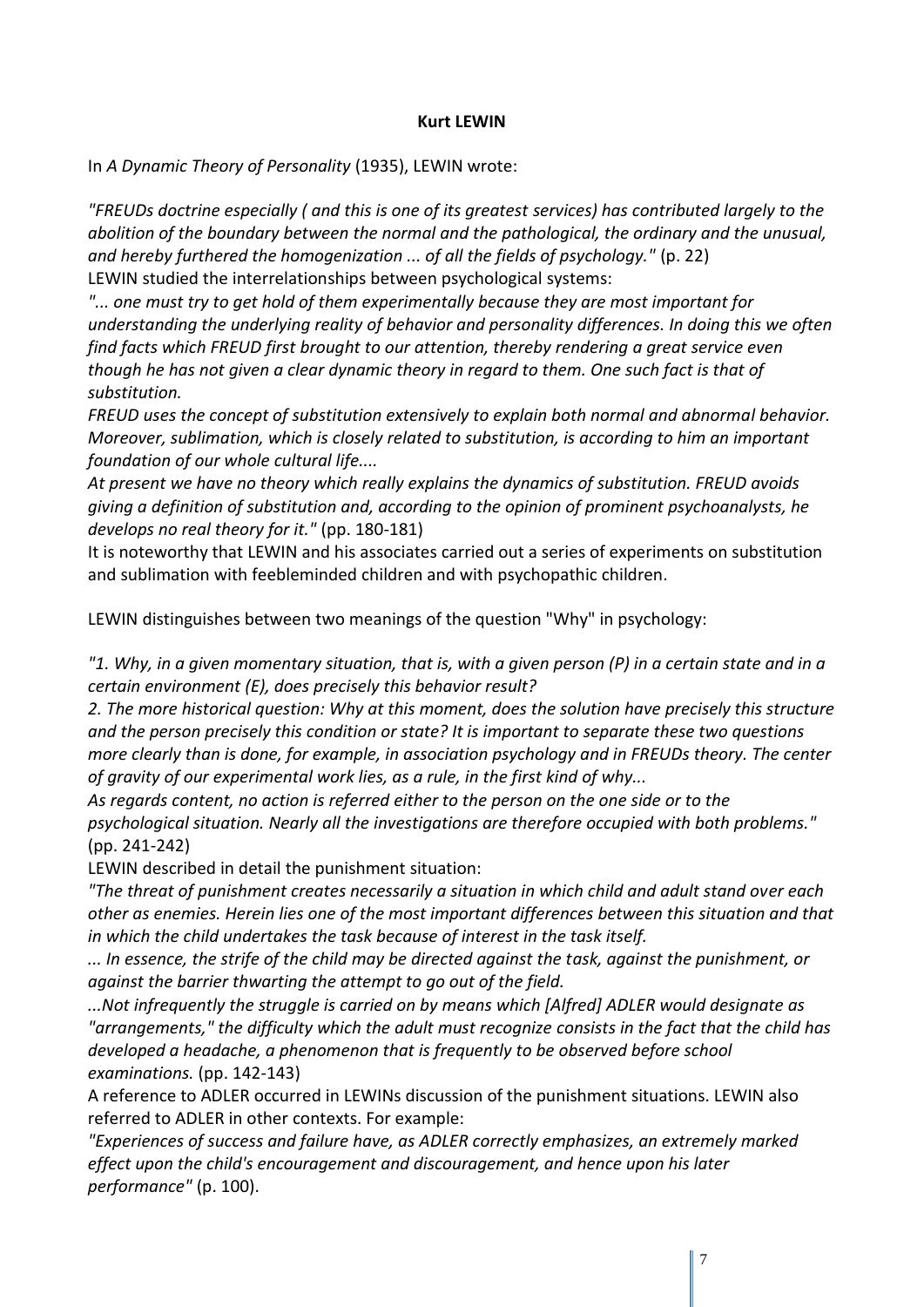#### **Kurt LEWIN**

In *A Dynamic Theory of Personality* (1935), LEWIN wrote:

*"FREUDs doctrine especially ( and this is one of its greatest services) has contributed largely to the abolition of the boundary between the normal and the pathological, the ordinary and the unusual, and hereby furthered the homogenization ... of all the fields of psychology."* (p. 22) LEWIN studied the interrelationships between psychological systems:

*"... one must try to get hold of them experimentally because they are most important for understanding the underlying reality of behavior and personality differences. In doing this we often find facts which FREUD first brought to our attention, thereby rendering a great service even though he has not given a clear dynamic theory in regard to them. One such fact is that of substitution.*

*FREUD uses the concept of substitution extensively to explain both normal and abnormal behavior. Moreover, sublimation, which is closely related to substitution, is according to him an important foundation of our whole cultural life....*

*At present we have no theory which really explains the dynamics of substitution. FREUD avoids giving a definition of substitution and, according to the opinion of prominent psychoanalysts, he develops no real theory for it."* (pp. 180-181)

It is noteworthy that LEWIN and his associates carried out a series of experiments on substitution and sublimation with feebleminded children and with psychopathic children.

LEWIN distinguishes between two meanings of the question "Why" in psychology:

*"1. Why, in a given momentary situation, that is, with a given person (P) in a certain state and in a certain environment (E), does precisely this behavior result?*

*2. The more historical question: Why at this moment, does the solution have precisely this structure and the person precisely this condition or state? It is important to separate these two questions more clearly than is done, for example, in association psychology and in FREUDs theory. The center of gravity of our experimental work lies, as a rule, in the first kind of why...*

*As regards content, no action is referred either to the person on the one side or to the psychological situation. Nearly all the investigations are therefore occupied with both problems."* (pp. 241-242)

LEWIN described in detail the punishment situation:

*"The threat of punishment creates necessarily a situation in which child and adult stand over each other as enemies. Herein lies one of the most important differences between this situation and that in which the child undertakes the task because of interest in the task itself.*

*... In essence, the strife of the child may be directed against the task, against the punishment, or against the barrier thwarting the attempt to go out of the field.*

*...Not infrequently the struggle is carried on by means which [Alfred] ADLER would designate as "arrangements," the difficulty which the adult must recognize consists in the fact that the child has developed a headache, a phenomenon that is frequently to be observed before school examinations.* (pp. 142-143)

A reference to ADLER occurred in LEWINs discussion of the punishment situations. LEWIN also referred to ADLER in other contexts. For example:

*"Experiences of success and failure have, as ADLER correctly emphasizes, an extremely marked effect upon the child's encouragement and discouragement, and hence upon his later performance"* (p. 100).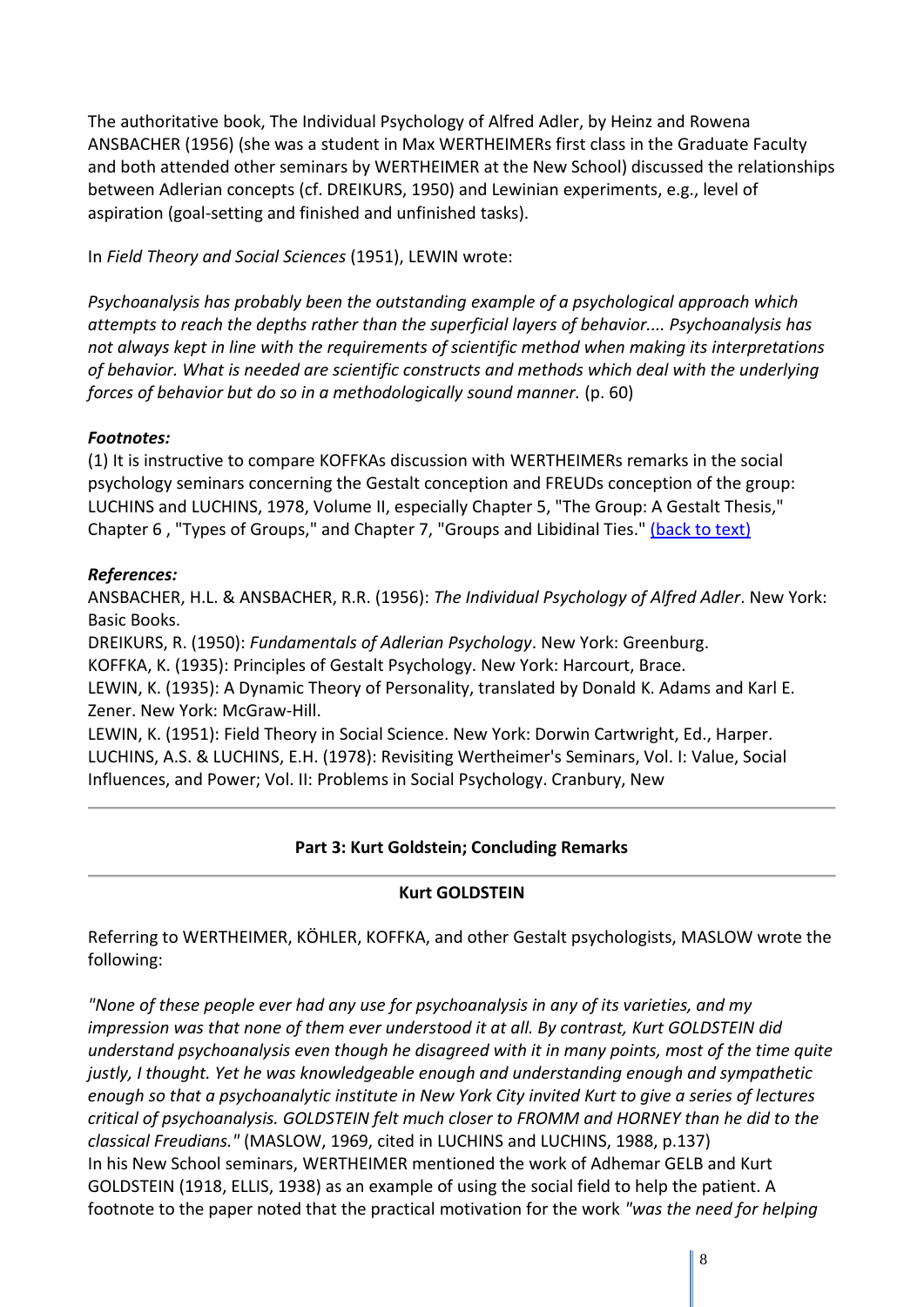The authoritative book, The Individual Psychology of Alfred Adler, by Heinz and Rowena ANSBACHER (1956) (she was a student in Max WERTHEIMERs first class in the Graduate Faculty and both attended other seminars by WERTHEIMER at the New School) discussed the relationships between Adlerian concepts (cf. DREIKURS, 1950) and Lewinian experiments, e.g., level of aspiration (goal-setting and finished and unfinished tasks).

In *Field Theory and Social Sciences* (1951), LEWIN wrote:

*Psychoanalysis has probably been the outstanding example of a psychological approach which attempts to reach the depths rather than the superficial layers of behavior.... Psychoanalysis has not always kept in line with the requirements of scientific method when making its interpretations of behavior. What is needed are scientific constructs and methods which deal with the underlying forces of behavior but do so in a methodologically sound manner.* (p. 60)

# *Footnotes:*

(1) It is instructive to compare KOFFKAs discussion with WERTHEIMERs remarks in the social psychology seminars concerning the Gestalt conception and FREUDs conception of the group: LUCHINS and LUCHINS, 1978, Volume II, especially Chapter 5, "The Group: A Gestalt Thesis," Chapter 6 , "Types of Groups," and Chapter 7, "Groups and Libidinal Ties." [\(back to text\)](http://gestalttheory.net/archive/luch2.html#FN1)

## *References:*

ANSBACHER, H.L. & ANSBACHER, R.R. (1956): *The Individual Psychology of Alfred Adler*. New York: Basic Books.

DREIKURS, R. (1950): *Fundamentals of Adlerian Psychology*. New York: Greenburg.

KOFFKA, K. (1935): Principles of Gestalt Psychology. New York: Harcourt, Brace.

LEWIN, K. (1935): A Dynamic Theory of Personality, translated by Donald K. Adams and Karl E. Zener. New York: McGraw-Hill.

LEWIN, K. (1951): Field Theory in Social Science. New York: Dorwin Cartwright, Ed., Harper. LUCHINS, A.S. & LUCHINS, E.H. (1978): Revisiting Wertheimer's Seminars, Vol. I: Value, Social Influences, and Power; Vol. II: Problems in Social Psychology. Cranbury, New

## **Part 3: Kurt Goldstein; Concluding Remarks**

## **Kurt GOLDSTEIN**

Referring to WERTHEIMER, KÖHLER, KOFFKA, and other Gestalt psychologists, MASLOW wrote the following:

*"None of these people ever had any use for psychoanalysis in any of its varieties, and my impression was that none of them ever understood it at all. By contrast, Kurt GOLDSTEIN did understand psychoanalysis even though he disagreed with it in many points, most of the time quite justly, I thought. Yet he was knowledgeable enough and understanding enough and sympathetic enough so that a psychoanalytic institute in New York City invited Kurt to give a series of lectures critical of psychoanalysis. GOLDSTEIN felt much closer to FROMM and HORNEY than he did to the classical Freudians."* (MASLOW, 1969, cited in LUCHINS and LUCHINS, 1988, p.137) In his New School seminars, WERTHEIMER mentioned the work of Adhemar GELB and Kurt GOLDSTEIN (1918, ELLIS, 1938) as an example of using the social field to help the patient. A footnote to the paper noted that the practical motivation for the work *"was the need for helping*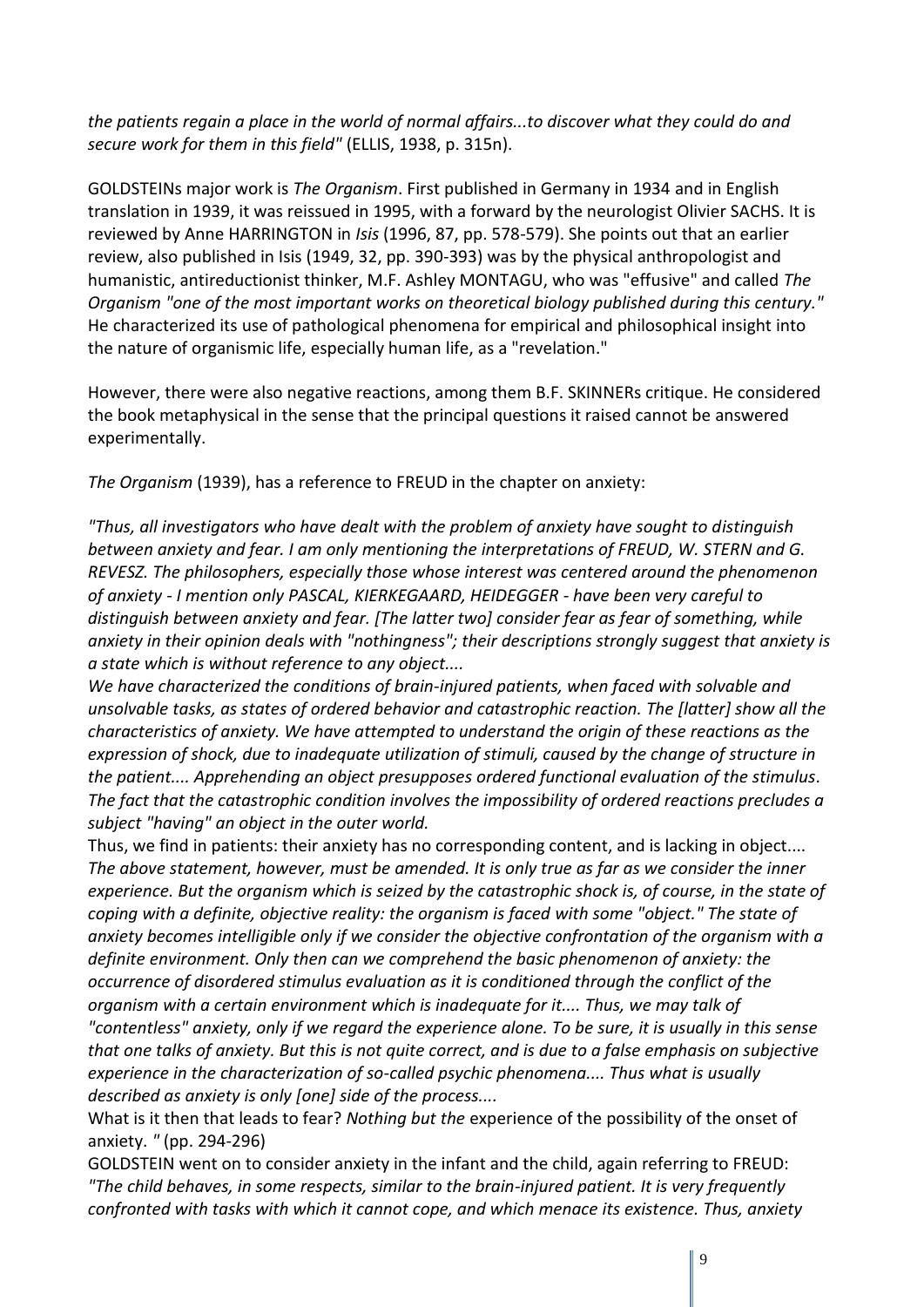*the patients regain a place in the world of normal affairs...to discover what they could do and secure work for them in this field"* (ELLIS, 1938, p. 315n).

GOLDSTEINs major work is *The Organism*. First published in Germany in 1934 and in English translation in 1939, it was reissued in 1995, with a forward by the neurologist Olivier SACHS. It is reviewed by Anne HARRINGTON in *Isis* (1996, 87, pp. 578-579). She points out that an earlier review, also published in Isis (1949, 32, pp. 390-393) was by the physical anthropologist and humanistic, antireductionist thinker, M.F. Ashley MONTAGU, who was "effusive" and called *The Organism "one of the most important works on theoretical biology published during this century."*  He characterized its use of pathological phenomena for empirical and philosophical insight into the nature of organismic life, especially human life, as a "revelation."

However, there were also negative reactions, among them B.F. SKINNERs critique. He considered the book metaphysical in the sense that the principal questions it raised cannot be answered experimentally.

*The Organism* (1939), has a reference to FREUD in the chapter on anxiety:

*"Thus, all investigators who have dealt with the problem of anxiety have sought to distinguish between anxiety and fear. I am only mentioning the interpretations of FREUD, W. STERN and G. REVESZ. The philosophers, especially those whose interest was centered around the phenomenon of anxiety - I mention only PASCAL, KIERKEGAARD, HEIDEGGER - have been very careful to distinguish between anxiety and fear. [The latter two] consider fear as fear of something, while anxiety in their opinion deals with "nothingness"; their descriptions strongly suggest that anxiety is a state which is without reference to any object....*

*We have characterized the conditions of brain-injured patients, when faced with solvable and unsolvable tasks, as states of ordered behavior and catastrophic reaction. The [latter] show all the characteristics of anxiety. We have attempted to understand the origin of these reactions as the expression of shock, due to inadequate utilization of stimuli, caused by the change of structure in the patient.... Apprehending an object presupposes ordered functional evaluation of the stimulus. The fact that the catastrophic condition involves the impossibility of ordered reactions precludes a subject "having" an object in the outer world.*

Thus, we find in patients: their anxiety has no corresponding content, and is lacking in object.... *The above statement, however, must be amended. It is only true as far as we consider the inner experience. But the organism which is seized by the catastrophic shock is, of course, in the state of coping with a definite, objective reality: the organism is faced with some "object." The state of anxiety becomes intelligible only if we consider the objective confrontation of the organism with a definite environment. Only then can we comprehend the basic phenomenon of anxiety: the occurrence of disordered stimulus evaluation as it is conditioned through the conflict of the organism with a certain environment which is inadequate for it.... Thus, we may talk of "contentless" anxiety, only if we regard the experience alone. To be sure, it is usually in this sense that one talks of anxiety. But this is not quite correct, and is due to a false emphasis on subjective experience in the characterization of so-called psychic phenomena.... Thus what is usually described as anxiety is only [one] side of the process....*

What is it then that leads to fear? *Nothing but the* experience of the possibility of the onset of anxiety. *"* (pp. 294-296)

GOLDSTEIN went on to consider anxiety in the infant and the child, again referring to FREUD: *"The child behaves, in some respects, similar to the brain-injured patient. It is very frequently confronted with tasks with which it cannot cope, and which menace its existence. Thus, anxiety*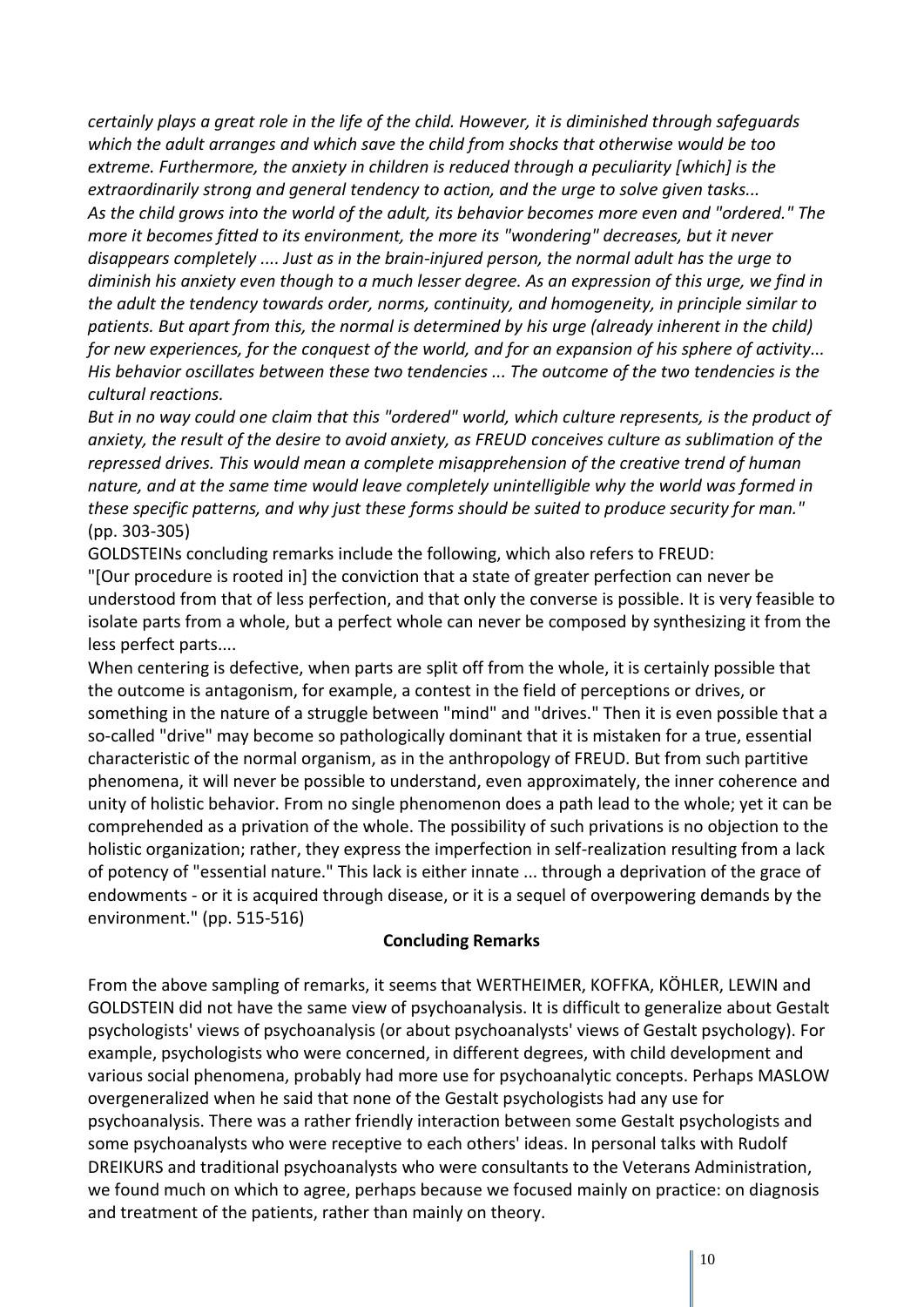*certainly plays a great role in the life of the child. However, it is diminished through safeguards which the adult arranges and which save the child from shocks that otherwise would be too extreme. Furthermore, the anxiety in children is reduced through a peculiarity [which] is the extraordinarily strong and general tendency to action, and the urge to solve given tasks... As the child grows into the world of the adult, its behavior becomes more even and "ordered." The more it becomes fitted to its environment, the more its "wondering" decreases, but it never disappears completely .... Just as in the brain-injured person, the normal adult has the urge to diminish his anxiety even though to a much lesser degree. As an expression of this urge, we find in the adult the tendency towards order, norms, continuity, and homogeneity, in principle similar to patients. But apart from this, the normal is determined by his urge (already inherent in the child) for new experiences, for the conquest of the world, and for an expansion of his sphere of activity... His behavior oscillates between these two tendencies ... The outcome of the two tendencies is the cultural reactions.*

*But in no way could one claim that this "ordered" world, which culture represents, is the product of anxiety, the result of the desire to avoid anxiety, as FREUD conceives culture as sublimation of the repressed drives. This would mean a complete misapprehension of the creative trend of human nature, and at the same time would leave completely unintelligible why the world was formed in these specific patterns, and why just these forms should be suited to produce security for man."*  (pp. 303-305)

GOLDSTEINs concluding remarks include the following, which also refers to FREUD:

"[Our procedure is rooted in] the conviction that a state of greater perfection can never be understood from that of less perfection, and that only the converse is possible. It is very feasible to isolate parts from a whole, but a perfect whole can never be composed by synthesizing it from the less perfect parts....

When centering is defective, when parts are split off from the whole, it is certainly possible that the outcome is antagonism, for example, a contest in the field of perceptions or drives, or something in the nature of a struggle between "mind" and "drives." Then it is even possible that a so-called "drive" may become so pathologically dominant that it is mistaken for a true, essential characteristic of the normal organism, as in the anthropology of FREUD. But from such partitive phenomena, it will never be possible to understand, even approximately, the inner coherence and unity of holistic behavior. From no single phenomenon does a path lead to the whole; yet it can be comprehended as a privation of the whole. The possibility of such privations is no objection to the holistic organization; rather, they express the imperfection in self-realization resulting from a lack of potency of "essential nature." This lack is either innate ... through a deprivation of the grace of endowments - or it is acquired through disease, or it is a sequel of overpowering demands by the environment." (pp. 515-516)

#### **Concluding Remarks**

From the above sampling of remarks, it seems that WERTHEIMER, KOFFKA, KÖHLER, LEWIN and GOLDSTEIN did not have the same view of psychoanalysis. It is difficult to generalize about Gestalt psychologists' views of psychoanalysis (or about psychoanalysts' views of Gestalt psychology). For example, psychologists who were concerned, in different degrees, with child development and various social phenomena, probably had more use for psychoanalytic concepts. Perhaps MASLOW overgeneralized when he said that none of the Gestalt psychologists had any use for psychoanalysis. There was a rather friendly interaction between some Gestalt psychologists and some psychoanalysts who were receptive to each others' ideas. In personal talks with Rudolf DREIKURS and traditional psychoanalysts who were consultants to the Veterans Administration, we found much on which to agree, perhaps because we focused mainly on practice: on diagnosis and treatment of the patients, rather than mainly on theory.